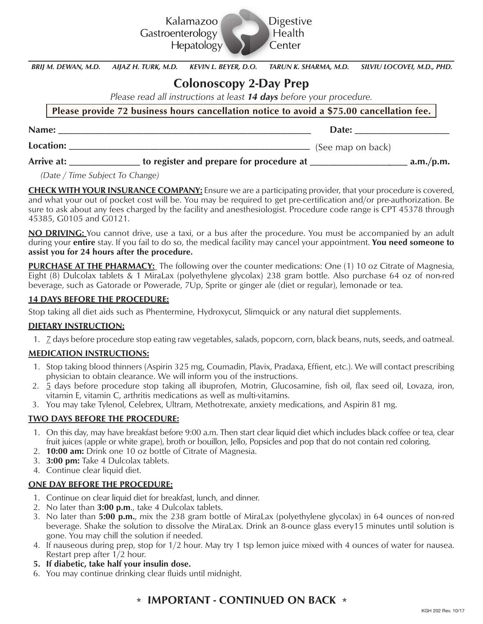

*BRIJ M. DEWAN, M.D. AIJAZ H. TURK, M.D. KEVIN L. BEYER, D.O. TARUN K. SHARMA, M.D. SILVIU LOCOVEI, M.D., PHD.*

# **Colonoscopy 2-Day Prep**

*Please read all instructions at least 14 days before your procedure.*

**Please provide 72 business hours cancellation notice to avoid a \$75.00 cancellation fee.**

| Name:      |                                          | Date:             |           |
|------------|------------------------------------------|-------------------|-----------|
| Location:  |                                          | (See map on back) |           |
| Arrive at: | to register and prepare for procedure at |                   | a.m./p.m. |

 *(Date / Time Subject To Change)*

**CHECK WITH YOUR INSURANCE COMPANY:** Ensure we are a participating provider, that your procedure is covered, and what your out of pocket cost will be. You may be required to get pre-certification and/or pre-authorization. Be sure to ask about any fees charged by the facility and anesthesiologist. Procedure code range is CPT 45378 through 45385, G0105 and G0121.

**NO DRIVING:** You cannot drive, use a taxi, or a bus after the procedure. You must be accompanied by an adult during your **entire** stay. If you fail to do so, the medical facility may cancel your appointment. **You need someone to assist you for 24 hours after the procedure.**

**PURCHASE AT THE PHARMACY:** The following over the counter medications: One (1) 10 oz Citrate of Magnesia, Eight (8) Dulcolax tablets & 1 MiraLax (polyethylene glycolax) 238 gram bottle. Also purchase 64 oz of non-red beverage, such as Gatorade or Powerade, 7Up, Sprite or ginger ale (diet or regular), lemonade or tea.

#### **14 DAYS BEFORE THE PROCEDURE:**

Stop taking all diet aids such as Phentermine, Hydroxycut, Slimquick or any natural diet supplements.

#### **DIETARY INSTRUCTION:**

1. 7 days before procedure stop eating raw vegetables, salads, popcorn, corn, black beans, nuts, seeds, and oatmeal.

#### **MEDICATION INSTRUCTIONS:**

- 1. Stop taking blood thinners (Aspirin 325 mg, Coumadin, Plavix, Pradaxa, Effient, etc.). We will contact prescribing physician to obtain clearance. We will inform you of the instructions.
- 2. 5 days before procedure stop taking all ibuprofen, Motrin, Glucosamine, fish oil, flax seed oil, Lovaza, iron, vitamin E, vitamin C, arthritis medications as well as multi-vitamins.
- 3. You may take Tylenol, Celebrex, Ultram, Methotrexate, anxiety medications, and Aspirin 81 mg.

#### **TWO DAYS BEFORE THE PROCEDURE:**

- 1. On this day, may have breakfast before 9:00 a.m. Then start clear liquid diet which includes black coffee or tea, clear fruit juices (apple or white grape), broth or bouillon, Jello, Popsicles and pop that do not contain red coloring.
- 2. **10:00 am:** Drink one 10 oz bottle of Citrate of Magnesia.
- 3. **3:00 pm:** Take 4 Dulcolax tablets.
- 4. Continue clear liquid diet.

#### **ONE DAY BEFORE THE PROCEDURE:**

- 1. Continue on clear liquid diet for breakfast, lunch, and dinner.
- 2. No later than **3:00 p.m**., take 4 Dulcolax tablets.
- 3. No later than **5:00 p.m.**, mix the 238 gram bottle of MiraLax (polyethylene glycolax) in 64 ounces of non-red beverage. Shake the solution to dissolve the MiraLax. Drink an 8-ounce glass every15 minutes until solution is gone. You may chill the solution if needed.
- 4. If nauseous during prep, stop for 1/2 hour. May try 1 tsp lemon juice mixed with 4 ounces of water for nausea. Restart prep after 1/2 hour.
- **5. If diabetic, take half your insulin dose.**
- 6. You may continue drinking clear fluids until midnight.

### **\* IMPORTANT - CONTINUED ON BACK \***